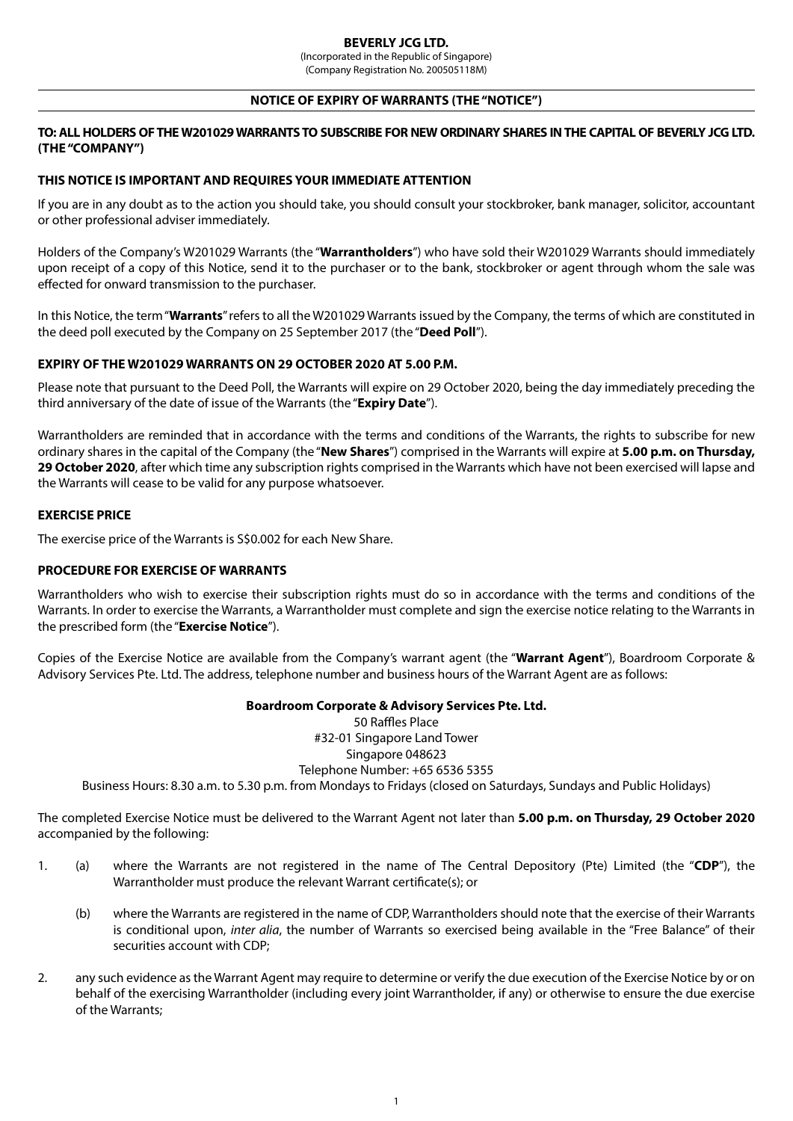(Incorporated in the Republic of Singapore) (Company Registration No. 200505118M)

#### **NOTICE OF EXPIRY OF WARRANTS (THE "NOTICE")**

# **TO: ALL HOLDERS OF THE W201029 WARRANTS TO SUBSCRIBE FOR NEW ORDINARY SHARES IN THE CAPITAL OF BEVERLY JCG LTD. (THE "COMPANY")**

# **THIS NOTICE IS IMPORTANT AND REQUIRES YOUR IMMEDIATE ATTENTION**

If you are in any doubt as to the action you should take, you should consult your stockbroker, bank manager, solicitor, accountant or other professional adviser immediately.

Holders of the Company's W201029 Warrants (the "**Warrantholders**") who have sold their W201029 Warrants should immediately upon receipt of a copy of this Notice, send it to the purchaser or to the bank, stockbroker or agent through whom the sale was effected for onward transmission to the purchaser.

In this Notice, the term "**Warrants**" refers to all the W201029 Warrants issued by the Company, the terms of which are constituted in the deed poll executed by the Company on 25 September 2017 (the "**Deed Poll**").

### **EXPIRY OF THE W201029 WARRANTS ON 29 OCTOBER 2020 AT 5.00 P.M.**

Please note that pursuant to the Deed Poll, the Warrants will expire on 29 October 2020, being the day immediately preceding the third anniversary of the date of issue of the Warrants (the "**Expiry Date**").

Warrantholders are reminded that in accordance with the terms and conditions of the Warrants, the rights to subscribe for new ordinary shares in the capital of the Company (the "**New Shares**") comprised in the Warrants will expire at **5.00 p.m. on Thursday, 29 October 2020**, after which time any subscription rights comprised in the Warrants which have not been exercised will lapse and the Warrants will cease to be valid for any purpose whatsoever.

#### **EXERCISE PRICE**

The exercise price of the Warrants is S\$0.002 for each New Share.

#### **PROCEDURE FOR EXERCISE OF WARRANTS**

Warrantholders who wish to exercise their subscription rights must do so in accordance with the terms and conditions of the Warrants. In order to exercise the Warrants, a Warrantholder must complete and sign the exercise notice relating to the Warrants in the prescribed form (the "**Exercise Notice**").

Copies of the Exercise Notice are available from the Company's warrant agent (the "**Warrant Agent**"), Boardroom Corporate & Advisory Services Pte. Ltd. The address, telephone number and business hours of the Warrant Agent are as follows:

#### **Boardroom Corporate & Advisory Services Pte. Ltd.**

50 Raffles Place #32-01 Singapore Land Tower Singapore 048623 Telephone Number: +65 6536 5355 Business Hours: 8.30 a.m. to 5.30 p.m. from Mondays to Fridays (closed on Saturdays, Sundays and Public Holidays)

The completed Exercise Notice must be delivered to the Warrant Agent not later than **5.00 p.m. on Thursday, 29 October 2020** accompanied by the following:

- 1. (a) where the Warrants are not registered in the name of The Central Depository (Pte) Limited (the "**CDP**"), the Warrantholder must produce the relevant Warrant certificate(s); or
	- (b) where the Warrants are registered in the name of CDP, Warrantholders should note that the exercise of their Warrants is conditional upon, *inter alia*, the number of Warrants so exercised being available in the "Free Balance" of their securities account with CDP;
- 2. any such evidence as the Warrant Agent may require to determine or verify the due execution of the Exercise Notice by or on behalf of the exercising Warrantholder (including every joint Warrantholder, if any) or otherwise to ensure the due exercise of the Warrants;